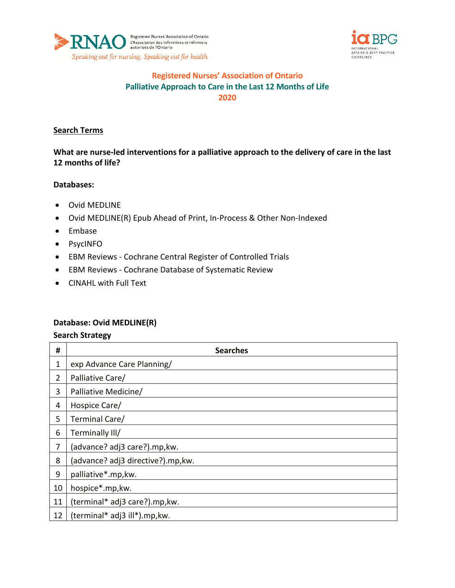



## **Registered Nurses' Association of Ontario Palliative Approach to Care in the Last 12 Months of Life 2020**

### **Search Terms**

**What are nurse-led interventions for a palliative approach to the delivery of care in the last 12 months of life?**

#### **Databases:**

- Ovid MEDLINE
- Ovid MEDLINE(R) Epub Ahead of Print, In-Process & Other Non-Indexed
- Embase
- PsycINFO
- EBM Reviews Cochrane Central Register of Controlled Trials
- EBM Reviews Cochrane Database of Systematic Review
- CINAHL with Full Text

### **Database: Ovid MEDLINE(R)**

| #              | <b>Searches</b>                    |
|----------------|------------------------------------|
| 1              | exp Advance Care Planning/         |
| $\overline{2}$ | Palliative Care/                   |
| 3              | Palliative Medicine/               |
| 4              | Hospice Care/                      |
| 5              | Terminal Care/                     |
| 6              | Terminally III/                    |
| 7              | (advance? adj3 care?).mp, kw.      |
| 8              | (advance? adj3 directive?).mp, kw. |
| 9              | palliative*.mp, kw.                |
| 10             | hospice*.mp,kw.                    |
| 11             | (terminal* adj3 care?).mp, kw.     |
| 12             | (terminal* adj3 ill*).mp, kw.      |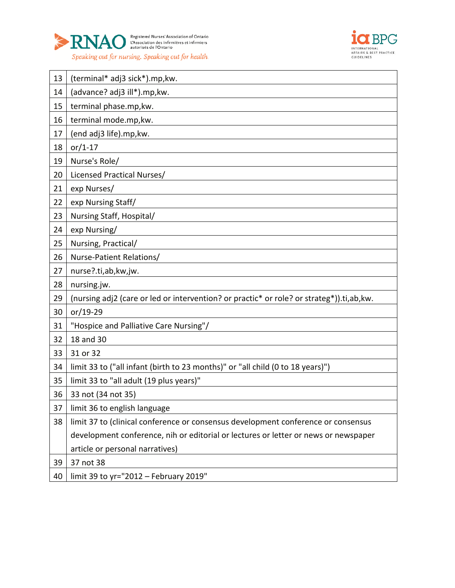



| 13 | (terminal* adj3 sick*).mp, kw.                                                           |
|----|------------------------------------------------------------------------------------------|
| 14 | (advance? adj3 ill*).mp, kw.                                                             |
| 15 | terminal phase.mp, kw.                                                                   |
| 16 | terminal mode.mp, kw.                                                                    |
| 17 | (end adj3 life).mp, kw.                                                                  |
| 18 | $or/1-17$                                                                                |
| 19 | Nurse's Role/                                                                            |
| 20 | Licensed Practical Nurses/                                                               |
| 21 | exp Nurses/                                                                              |
| 22 | exp Nursing Staff/                                                                       |
| 23 | Nursing Staff, Hospital/                                                                 |
| 24 | exp Nursing/                                                                             |
| 25 | Nursing, Practical/                                                                      |
| 26 | Nurse-Patient Relations/                                                                 |
| 27 | nurse?.ti,ab,kw,jw.                                                                      |
| 28 | nursing.jw.                                                                              |
| 29 | (nursing adj2 (care or led or intervention? or practic* or role? or strateg*)).ti,ab,kw. |
| 30 | or/19-29                                                                                 |
| 31 | "Hospice and Palliative Care Nursing"/                                                   |
| 32 | 18 and 30                                                                                |
| 33 | 31 or 32                                                                                 |
| 34 | limit 33 to ("all infant (birth to 23 months)" or "all child (0 to 18 years)")           |
| 35 | limit 33 to "all adult (19 plus years)"                                                  |
| 36 | 33 not (34 not 35)                                                                       |
| 37 | limit 36 to english language                                                             |
| 38 | limit 37 to (clinical conference or consensus development conference or consensus        |
|    | development conference, nih or editorial or lectures or letter or news or newspaper      |
|    | article or personal narratives)                                                          |
| 39 | 37 not 38                                                                                |
| 40 | limit 39 to yr="2012 - February 2019"                                                    |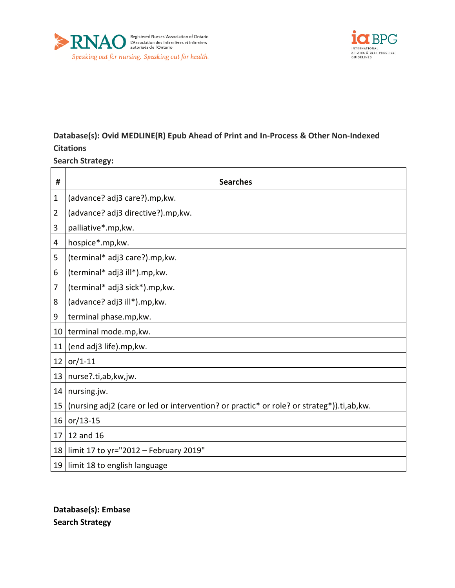



# **Database(s): Ovid MEDLINE(R) Epub Ahead of Print and In-Process & Other Non-Indexed Citations**

### **Search Strategy:**

| #              | <b>Searches</b>                                                                           |
|----------------|-------------------------------------------------------------------------------------------|
| 1              | (advance? adj3 care?).mp, kw.                                                             |
| $\overline{2}$ | (advance? adj3 directive?).mp, kw.                                                        |
| 3              | palliative*.mp, kw.                                                                       |
| 4              | hospice*.mp,kw.                                                                           |
| 5              | (terminal* adj3 care?).mp, kw.                                                            |
| 6              | (terminal* adj3 ill*).mp, kw.                                                             |
| 7              | (terminal* adj3 sick*).mp, kw.                                                            |
| 8              | (advance? adj3 ill*).mp, kw.                                                              |
| 9              | terminal phase.mp, kw.                                                                    |
| 10             | terminal mode.mp, kw.                                                                     |
| 11             | (end adj3 life).mp, kw.                                                                   |
| 12             | $or/1-11$                                                                                 |
| 13             | nurse?.ti,ab,kw,jw.                                                                       |
| 14             | nursing.jw.                                                                               |
| 15             | (nursing adj2 (care or led or intervention? or practic* or role? or strateg*)).ti,ab, kw. |
| 16             | $or/13-15$                                                                                |
| 17             | 12 and 16                                                                                 |
| 18             | limit 17 to yr="2012 - February 2019"                                                     |
| 19             | limit 18 to english language                                                              |

**Database(s): Embase Search Strategy**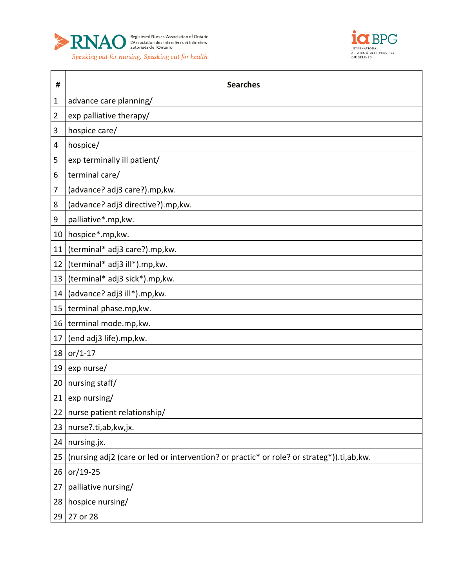



| #  | <b>Searches</b>                                                                          |
|----|------------------------------------------------------------------------------------------|
| 1  | advance care planning/                                                                   |
| 2  | exp palliative therapy/                                                                  |
| 3  | hospice care/                                                                            |
| 4  | hospice/                                                                                 |
| 5  | exp terminally ill patient/                                                              |
| 6  | terminal care/                                                                           |
| 7  | (advance? adj3 care?).mp, kw.                                                            |
| 8  | (advance? adj3 directive?).mp,kw.                                                        |
| 9  | palliative*.mp, kw.                                                                      |
| 10 | hospice*.mp,kw.                                                                          |
| 11 | (terminal* adj3 care?).mp, kw.                                                           |
| 12 | (terminal* adj3 ill*).mp, kw.                                                            |
| 13 | (terminal* adj3 sick*).mp, kw.                                                           |
| 14 | (advance? adj3 ill*).mp, kw.                                                             |
| 15 | terminal phase.mp, kw.                                                                   |
| 16 | terminal mode.mp, kw.                                                                    |
| 17 | (end adj3 life).mp, kw.                                                                  |
| 18 | $or/1-17$                                                                                |
| 19 | exp nurse/                                                                               |
| 20 | nursing staff/                                                                           |
| 21 | exp nursing/                                                                             |
| 22 | nurse patient relationship/                                                              |
| 23 | nurse?.ti,ab,kw,jx.                                                                      |
| 24 | nursing.jx.                                                                              |
| 25 | (nursing adj2 (care or led or intervention? or practic* or role? or strateg*)).ti,ab,kw. |
| 26 | $or/19-25$                                                                               |
| 27 | palliative nursing/                                                                      |
| 28 | hospice nursing/                                                                         |
| 29 | 27 or 28                                                                                 |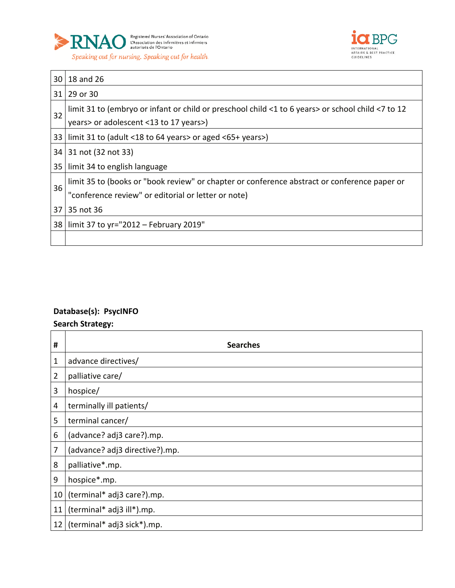



| 30 | 18 and 26                                                                                                                                           |
|----|-----------------------------------------------------------------------------------------------------------------------------------------------------|
|    | 31 29 or 30                                                                                                                                         |
| 32 | limit 31 to (embryo or infant or child or preschool child <1 to 6 years> or school child <7 to 12<br>years> or adolescent <13 to 17 years>)         |
|    | 33   limit 31 to (adult <18 to 64 years> or aged <65+ years>)                                                                                       |
| 34 | 31 not (32 not 33)                                                                                                                                  |
|    | 35   limit 34 to english language                                                                                                                   |
| 36 | limit 35 to (books or "book review" or chapter or conference abstract or conference paper or<br>"conference review" or editorial or letter or note) |
| 37 | 35 not 36                                                                                                                                           |
|    | 38   limit 37 to yr="2012 – February 2019"                                                                                                          |
|    |                                                                                                                                                     |

# **Database(s): PsycINFO**

| #              | <b>Searches</b>                |
|----------------|--------------------------------|
| $\mathbf 1$    | advance directives/            |
| $\overline{2}$ | palliative care/               |
| 3              | hospice/                       |
| 4              | terminally ill patients/       |
| 5              | terminal cancer/               |
| 6              | (advance? adj3 care?).mp.      |
| 7              | (advance? adj3 directive?).mp. |
| 8              | palliative*.mp.                |
| 9              | hospice*.mp.                   |
| 10             | (terminal* adj3 care?).mp.     |
| 11             | (terminal* adj3 ill*).mp.      |
| 12             | (terminal* adj3 sick*).mp.     |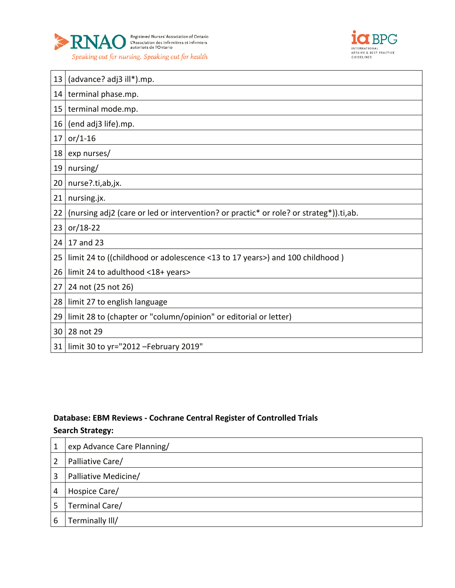



| 13               | (advance? adj3 ill*).mp.                                                              |
|------------------|---------------------------------------------------------------------------------------|
| 14               | terminal phase.mp.                                                                    |
| 15               | terminal mode.mp.                                                                     |
| 16               | (end adj3 life).mp.                                                                   |
| 17               | $or/1-16$                                                                             |
| 18               | exp nurses/                                                                           |
| 19               | nursing/                                                                              |
| 20 <sup>1</sup>  | nurse?.ti,ab,jx.                                                                      |
| 21               | nursing.jx.                                                                           |
| 22               | (nursing adj2 (care or led or intervention? or practic* or role? or strateg*)).ti,ab. |
| 23               | $or/18-22$                                                                            |
| 24               | 17 and 23                                                                             |
| $25\overline{ }$ | limit 24 to ((childhood or adolescence <13 to 17 years>) and 100 childhood)           |
| 26               | limit 24 to adulthood <18+ years>                                                     |
| 27               | 24 not (25 not 26)                                                                    |
| 28               | limit 27 to english language                                                          |
| 29               | limit 28 to (chapter or "column/opinion" or editorial or letter)                      |
| 30               | 28 not 29                                                                             |
| 31               | limit 30 to yr="2012 - February 2019"                                                 |

# **Database: EBM Reviews - Cochrane Central Register of Controlled Trials**

| 1 | exp Advance Care Planning/ |
|---|----------------------------|
| 2 | Palliative Care/           |
| 3 | Palliative Medicine/       |
| 4 | Hospice Care/              |
| 5 | Terminal Care/             |
| 6 | Terminally III/            |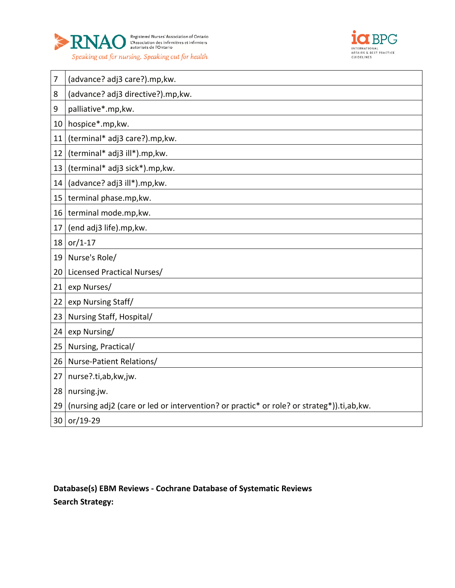



| 7  | (advance? adj3 care?).mp, kw.                                                            |
|----|------------------------------------------------------------------------------------------|
| 8  | (advance? adj3 directive?).mp, kw.                                                       |
| 9  | palliative*.mp, kw.                                                                      |
| 10 | hospice*.mp,kw.                                                                          |
| 11 | (terminal* adj3 care?).mp, kw.                                                           |
| 12 | (terminal* adj3 ill*).mp, kw.                                                            |
| 13 | (terminal* adj3 sick*).mp, kw.                                                           |
| 14 | (advance? adj3 ill*).mp, kw.                                                             |
| 15 | terminal phase.mp, kw.                                                                   |
| 16 | terminal mode.mp, kw.                                                                    |
| 17 | (end adj3 life).mp, kw.                                                                  |
| 18 | $or/1-17$                                                                                |
| 19 | Nurse's Role/                                                                            |
| 20 | Licensed Practical Nurses/                                                               |
| 21 | exp Nurses/                                                                              |
| 22 | exp Nursing Staff/                                                                       |
| 23 | Nursing Staff, Hospital/                                                                 |
| 24 | exp Nursing/                                                                             |
| 25 | Nursing, Practical/                                                                      |
| 26 | Nurse-Patient Relations/                                                                 |
| 27 | nurse?.ti,ab,kw,jw.                                                                      |
| 28 | nursing.jw.                                                                              |
| 29 | (nursing adj2 (care or led or intervention? or practic* or role? or strateg*)).ti,ab,kw. |
| 30 | or/19-29                                                                                 |

**Database(s) EBM Reviews - Cochrane Database of Systematic Reviews Search Strategy:**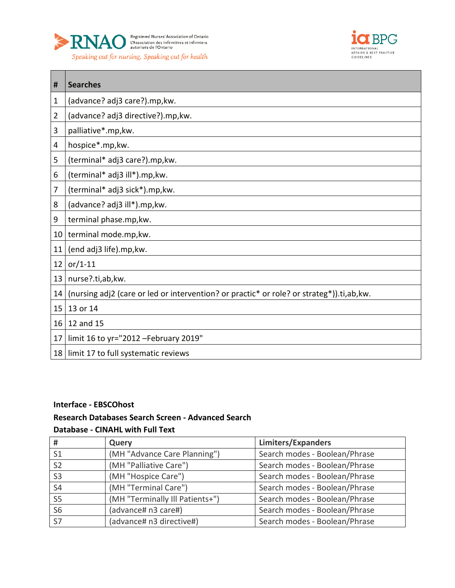



| #               | <b>Searches</b>                                                                           |
|-----------------|-------------------------------------------------------------------------------------------|
| 1               | (advance? adj3 care?).mp, kw.                                                             |
| 2               | (advance? adj3 directive?).mp, kw.                                                        |
| 3               | palliative*.mp, kw.                                                                       |
| 4               | hospice*.mp,kw.                                                                           |
| 5               | (terminal* adj3 care?).mp, kw.                                                            |
| 6               | (terminal* adj3 ill*).mp, kw.                                                             |
| 7               | (terminal* adj3 sick*).mp, kw.                                                            |
| 8               | (advance? adj3 ill*).mp, kw.                                                              |
| 9               | terminal phase.mp, kw.                                                                    |
|                 | 10   terminal mode.mp, kw.                                                                |
| 11              | (end adj3 life).mp, kw.                                                                   |
| 12              | $or/1-11$                                                                                 |
| 13 <sup>1</sup> | nurse?.ti,ab,kw.                                                                          |
| 14              | (nursing adj2 (care or led or intervention? or practic* or role? or strateg*)).ti,ab, kw. |
| 15              | 13 or 14                                                                                  |
| 16              | 12 and 15                                                                                 |
| 17              | limit 16 to yr="2012 - February 2019"                                                     |
|                 | 18   limit 17 to full systematic reviews                                                  |

### **Interface - EBSCOhost**

#### **Research Databases Search Screen - Advanced Search**

### **Database - CINAHL with Full Text**

| #              | Query                           | <b>Limiters/Expanders</b>     |
|----------------|---------------------------------|-------------------------------|
| S <sub>1</sub> | (MH "Advance Care Planning")    | Search modes - Boolean/Phrase |
| S <sub>2</sub> | (MH "Palliative Care")          | Search modes - Boolean/Phrase |
| S <sub>3</sub> | (MH "Hospice Care")             | Search modes - Boolean/Phrase |
| S <sub>4</sub> | (MH "Terminal Care")            | Search modes - Boolean/Phrase |
| S <sub>5</sub> | (MH "Terminally Ill Patients+") | Search modes - Boolean/Phrase |
| <b>S6</b>      | (advance# n3 care#)             | Search modes - Boolean/Phrase |
| <b>S7</b>      | (advance# n3 directive#)        | Search modes - Boolean/Phrase |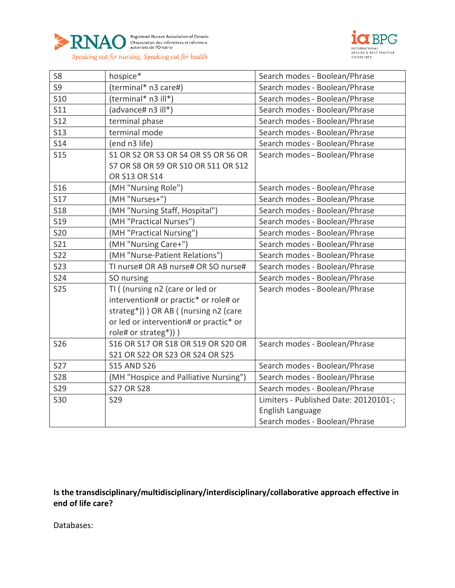



| S <sub>8</sub>  | hospice*                               | Search modes - Boolean/Phrase         |
|-----------------|----------------------------------------|---------------------------------------|
| S9              | (terminal* n3 care#)                   | Search modes - Boolean/Phrase         |
| <b>S10</b>      | (terminal* n3 ill*)                    | Search modes - Boolean/Phrase         |
| S11             | (advance# n3 ill*)                     | Search modes - Boolean/Phrase         |
| <b>S12</b>      | terminal phase                         | Search modes - Boolean/Phrase         |
| <b>S13</b>      | terminal mode                          | Search modes - Boolean/Phrase         |
| <b>S14</b>      | (end n3 life)                          | Search modes - Boolean/Phrase         |
| <b>S15</b>      | S1 OR S2 OR S3 OR S4 OR S5 OR S6 OR    | Search modes - Boolean/Phrase         |
|                 | S7 OR S8 OR S9 OR S10 OR S11 OR S12    |                                       |
|                 | OR S13 OR S14                          |                                       |
| <b>S16</b>      | (MH "Nursing Role")                    | Search modes - Boolean/Phrase         |
| <b>S17</b>      | (MH "Nurses+")                         | Search modes - Boolean/Phrase         |
| <b>S18</b>      | (MH "Nursing Staff, Hospital")         | Search modes - Boolean/Phrase         |
| S <sub>19</sub> | (MH "Practical Nurses")                | Search modes - Boolean/Phrase         |
| <b>S20</b>      | (MH "Practical Nursing")               | Search modes - Boolean/Phrase         |
| S21             | (MH "Nursing Care+")                   | Search modes - Boolean/Phrase         |
| <b>S22</b>      | (MH "Nurse-Patient Relations")         | Search modes - Boolean/Phrase         |
| <b>S23</b>      | TI nurse# OR AB nurse# OR SO nurse#    | Search modes - Boolean/Phrase         |
| <b>S24</b>      | SO nursing                             | Search modes - Boolean/Phrase         |
| <b>S25</b>      | TI ( (nursing n2 (care or led or       | Search modes - Boolean/Phrase         |
|                 | intervention# or practic* or role# or  |                                       |
|                 | strateg*)) ) OR AB ( (nursing n2 (care |                                       |
|                 | or led or intervention# or practic* or |                                       |
|                 | role# or strateg*)) )                  |                                       |
| <b>S26</b>      | S16 OR S17 OR S18 OR S19 OR S20 OR     | Search modes - Boolean/Phrase         |
|                 | S21 OR S22 OR S23 OR S24 OR S25        |                                       |
| <b>S27</b>      | <b>S15 AND S26</b>                     | Search modes - Boolean/Phrase         |
| <b>S28</b>      | (MH "Hospice and Palliative Nursing")  | Search modes - Boolean/Phrase         |
| <b>S29</b>      | <b>S27 OR S28</b>                      | Search modes - Boolean/Phrase         |
| S30             | S29                                    | Limiters - Published Date: 20120101-; |
|                 |                                        | English Language                      |
|                 |                                        | Search modes - Boolean/Phrase         |

**Is the transdisciplinary/multidisciplinary/interdisciplinary/collaborative approach effective in end of life care?**

Databases: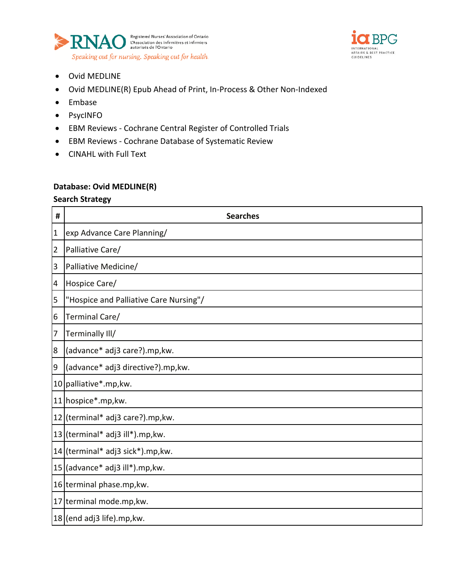



- Ovid MEDLINE
- Ovid MEDLINE(R) Epub Ahead of Print, In-Process & Other Non-Indexed
- Embase
- PsycINFO
- EBM Reviews Cochrane Central Register of Controlled Trials
- EBM Reviews Cochrane Database of Systematic Review
- CINAHL with Full Text

### **Database: Ovid MEDLINE(R)**

| #              | <b>Searches</b>                        |
|----------------|----------------------------------------|
| $\mathbf{1}$   | exp Advance Care Planning/             |
| $\overline{2}$ | Palliative Care/                       |
| 3              | Palliative Medicine/                   |
| $\overline{4}$ | Hospice Care/                          |
| 5              | "Hospice and Palliative Care Nursing"/ |
| 6              | Terminal Care/                         |
| 7              | Terminally III/                        |
| 8              | (advance* adj3 care?).mp,kw.           |
| 9              | (advance* adj3 directive?).mp,kw.      |
|                | 10 palliative*.mp, kw.                 |
| 11             | hospice*.mp,kw.                        |
|                | 12 (terminal* adj3 care?).mp, kw.      |
|                | 13 (terminal* adj3 ill*).mp, kw.       |
|                | 14 (terminal* adj3 sick*).mp, kw.      |
|                | $15$ (advance* adj3 ill*).mp, kw.      |
|                | 16 terminal phase.mp, kw.              |
| 17             | terminal mode.mp, kw.                  |
|                | 18 (end adj3 life).mp, kw.             |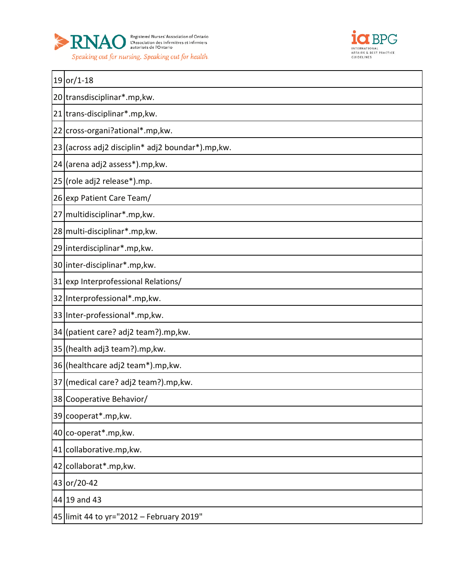



| $19$ or/1-18                                      |
|---------------------------------------------------|
| 20 transdisciplinar*.mp, kw.                      |
| 21 trans-disciplinar*.mp, kw.                     |
| 22 cross-organi?ational*.mp, kw.                  |
| 23 (across adj2 disciplin* adj2 boundar*).mp, kw. |
| 24 (arena adj2 assess*).mp, kw.                   |
| 25 (role adj2 release*).mp.                       |
| 26 exp Patient Care Team/                         |
| 27 multidisciplinar*.mp, kw.                      |
| 28 multi-disciplinar*.mp, kw.                     |
| 29 interdisciplinar*.mp, kw.                      |
| 30 inter-disciplinar*.mp, kw.                     |
| 31 exp Interprofessional Relations/               |
| 32 Interprofessional*.mp, kw.                     |
| 33 Inter-professional*.mp, kw.                    |
| 34 (patient care? adj2 team?).mp, kw.             |
| 35 (health adj3 team?).mp, kw.                    |
| 36 (healthcare adj2 team*).mp, kw.                |
| 37 (medical care? adj2 team?).mp, kw.             |
| 38 Cooperative Behavior/                          |
| 39 cooperat*.mp, kw.                              |
| 40 co-operat*.mp, kw.                             |
| 41 collaborative.mp, kw.                          |
| 42 collaborat*.mp, kw.                            |
| 43 or/20-42                                       |
| 44 19 and 43                                      |
| 45 limit 44 to yr="2012 - February 2019"          |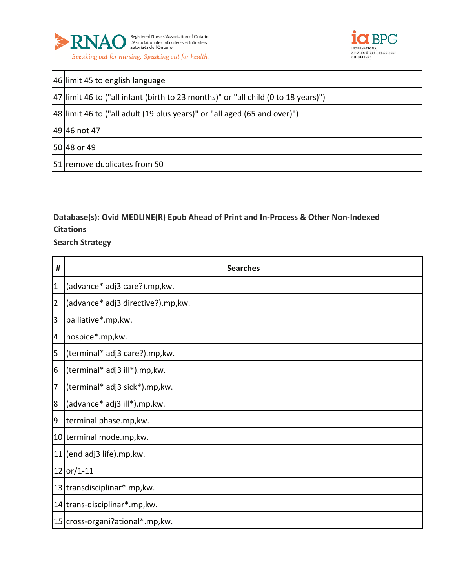



| 46 limit 45 to english language                                                     |
|-------------------------------------------------------------------------------------|
| [47] limit 46 to ("all infant (birth to 23 months)" or "all child (0 to 18 years)") |
| [48] limit 46 to ("all adult (19 plus years)" or "all aged (65 and over)")          |
| 49 46 not 47                                                                        |
| 50 48 or 49                                                                         |
| [51] remove duplicates from 50                                                      |

# **Database(s): Ovid MEDLINE(R) Epub Ahead of Print and In-Process & Other Non-Indexed Citations**

| #              | <b>Searches</b>                    |
|----------------|------------------------------------|
| $\mathbf 1$    | (advance* adj3 care?).mp,kw.       |
| $\overline{2}$ | (advance* adj3 directive?).mp, kw. |
| 3              | palliative*.mp, kw.                |
| 4              | hospice*.mp, kw.                   |
| 5              | (terminal* adj3 care?).mp, kw.     |
| 6              | (terminal* adj3 ill*).mp, kw.      |
| 7              | (terminal* adj3 sick*).mp, kw.     |
| 8              | (advance* adj3 ill*).mp, kw.       |
| 9              | terminal phase.mp, kw.             |
| 10             | terminal mode.mp, kw.              |
| 11             | (end adj3 life).mp, kw.            |
|                | $12$ or/1-11                       |
|                | 13 transdisciplinar*.mp, kw.       |
|                | 14 trans-disciplinar*.mp, kw.      |
|                | 15 cross-organi?ational*.mp, kw.   |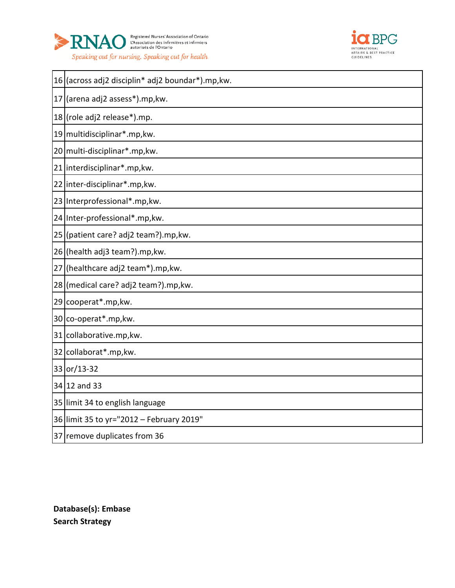



|    | 16 (across adj2 disciplin* adj2 boundar*).mp, kw. |
|----|---------------------------------------------------|
| 17 | (arena adj2 assess*).mp, kw.                      |
|    | 18 (role adj2 release*).mp.                       |
|    | 19 multidisciplinar*.mp, kw.                      |
|    | 20 multi-disciplinar*.mp, kw.                     |
| 21 | interdisciplinar*.mp, kw.                         |
|    | 22 inter-disciplinar*.mp, kw.                     |
|    | 23 Interprofessional*.mp, kw.                     |
|    | 24 Inter-professional*.mp, kw.                    |
|    | 25 (patient care? adj2 team?).mp, kw.             |
|    | 26 (health adj3 team?).mp, kw.                    |
| 27 | (healthcare adj2 team*).mp, kw.                   |
|    | 28 (medical care? adj2 team?).mp, kw.             |
|    | 29 cooperat*.mp, kw.                              |
|    | 30 co-operat*.mp, kw.                             |
|    | 31 collaborative.mp, kw.                          |
|    | 32 collaborat*.mp, kw.                            |
|    | 33 or/13-32                                       |
|    | 34 12 and 33                                      |
|    | 35 limit 34 to english language                   |
|    | 36 limit 35 to yr="2012 - February 2019"          |
|    | 37 remove duplicates from 36                      |

**Database(s): Embase Search Strategy**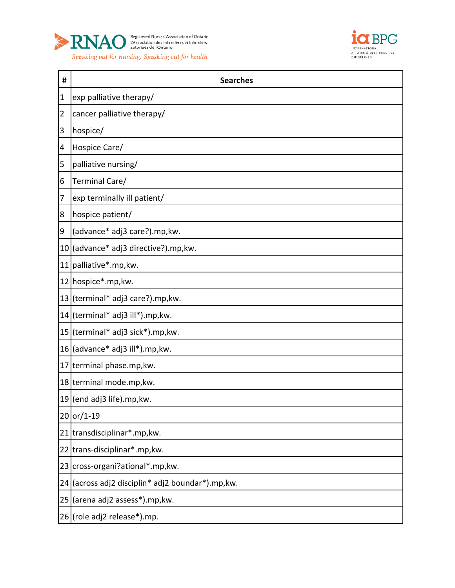



| #              | <b>Searches</b>                                   |
|----------------|---------------------------------------------------|
| $\mathbf{1}$   | exp palliative therapy/                           |
| $\overline{2}$ | cancer palliative therapy/                        |
| 3              | hospice/                                          |
| 4              | Hospice Care/                                     |
| 5              | palliative nursing/                               |
| 6              | Terminal Care/                                    |
| 7              | exp terminally ill patient/                       |
| 8              | hospice patient/                                  |
| 9              | (advance* adj3 care?).mp, kw.                     |
|                | 10 (advance* adj3 directive?).mp, kw.             |
|                | 11 palliative*.mp, kw.                            |
|                | 12 hospice*.mp, kw.                               |
|                | 13 (terminal* adj3 care?).mp, kw.                 |
|                | 14 (terminal* adj3 ill*).mp, kw.                  |
|                | 15 (terminal* adj3 sick*).mp, kw.                 |
|                | 16 (advance* adj3 ill*).mp, kw.                   |
|                | 17 terminal phase.mp, kw.                         |
|                | 18 terminal mode.mp, kw.                          |
|                | $19$ (end adj3 life).mp, kw.                      |
|                | 20 or/1-19                                        |
|                | 21 transdisciplinar*.mp, kw.                      |
|                | 22 trans-disciplinar*.mp, kw.                     |
|                | 23 cross-organi?ational*.mp, kw.                  |
|                | 24 (across adj2 disciplin* adj2 boundar*).mp, kw. |
|                | 25 (arena adj2 assess*).mp, kw.                   |
|                | 26 (role adj2 release*).mp.                       |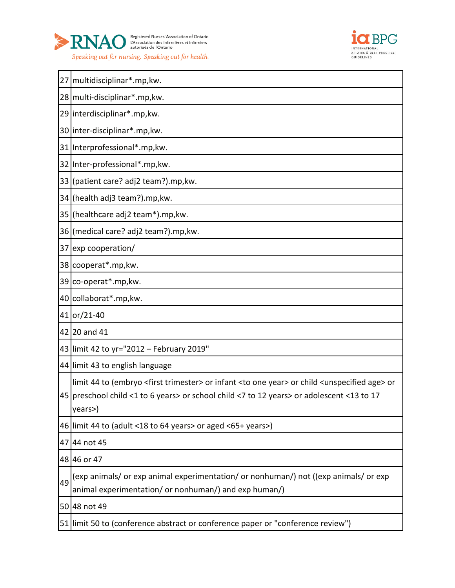



|    | 27 multidisciplinar*.mp, kw.                                                                                                                                                                                                                                   |
|----|----------------------------------------------------------------------------------------------------------------------------------------------------------------------------------------------------------------------------------------------------------------|
|    | 28 multi-disciplinar*.mp, kw.                                                                                                                                                                                                                                  |
|    | 29 interdisciplinar*.mp, kw.                                                                                                                                                                                                                                   |
|    | 30 inter-disciplinar*.mp, kw.                                                                                                                                                                                                                                  |
|    | 31 Interprofessional*.mp, kw.                                                                                                                                                                                                                                  |
|    | 32 Inter-professional*.mp, kw.                                                                                                                                                                                                                                 |
|    | 33 (patient care? adj2 team?).mp, kw.                                                                                                                                                                                                                          |
|    | 34 (health adj3 team?).mp, kw.                                                                                                                                                                                                                                 |
|    | 35 (healthcare adj2 team*).mp, kw.                                                                                                                                                                                                                             |
|    | 36 (medical care? adj2 team?).mp, kw.                                                                                                                                                                                                                          |
|    | 37 exp cooperation/                                                                                                                                                                                                                                            |
|    | 38 cooperat*.mp, kw.                                                                                                                                                                                                                                           |
|    | 39 co-operat*.mp, kw.                                                                                                                                                                                                                                          |
|    | 40 collaborat*.mp, kw.                                                                                                                                                                                                                                         |
|    | 41 or/21-40                                                                                                                                                                                                                                                    |
|    | 42 20 and 41                                                                                                                                                                                                                                                   |
|    | 43 limit 42 to yr="2012 - February 2019"                                                                                                                                                                                                                       |
|    | 44 limit 43 to english language                                                                                                                                                                                                                                |
|    | limit 44 to (embryo <first trimester=""> or infant <to one="" year=""> or child <unspecified age=""> or<br/>45 preschool child &lt;1 to 6 years&gt; or school child &lt;7 to 12 years&gt; or adolescent &lt;13 to 17<br/>years&gt;)</unspecified></to></first> |
|    | 46 limit 44 to (adult <18 to 64 years> or aged <65+ years>)                                                                                                                                                                                                    |
|    | 47 44 not 45                                                                                                                                                                                                                                                   |
|    | 48 46 or 47                                                                                                                                                                                                                                                    |
| 49 | (exp animals/ or exp animal experimentation/ or nonhuman/) not ((exp animals/ or exp<br>animal experimentation/ or nonhuman/) and exp human/)                                                                                                                  |
|    | 50 48 not 49                                                                                                                                                                                                                                                   |
|    | 51 limit 50 to (conference abstract or conference paper or "conference review")                                                                                                                                                                                |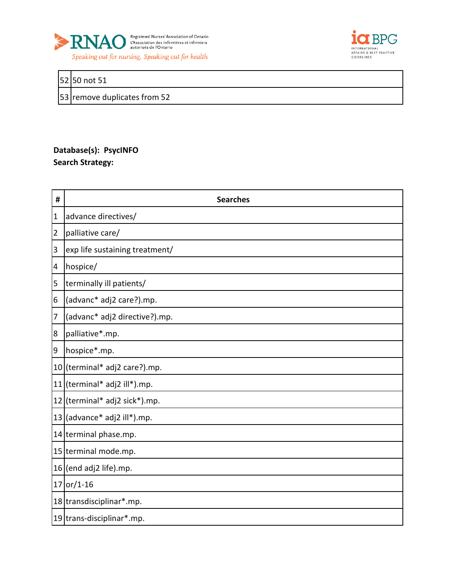



### 52 50 not 51

53 remove duplicates from 52

# **Database(s): PsycINFO Search Strategy:**

| #              | <b>Searches</b>                     |
|----------------|-------------------------------------|
| $\mathbf 1$    | advance directives/                 |
| $\overline{2}$ | palliative care/                    |
| 3              | exp life sustaining treatment/      |
| 4              | hospice/                            |
| 5              | terminally ill patients/            |
| 6              | (advanc* adj2 care?).mp.            |
| 7              | (advanc* adj2 directive?).mp.       |
| 8              | palliative*.mp.                     |
| $\overline{9}$ | hospice*.mp.                        |
|                | 10 (terminal* adj2 care?).mp.       |
|                | 11 (terminal* adj2 ill*).mp.        |
|                | 12 (terminal* adj2 sick*).mp.       |
|                | 13 $\vert$ (advance* adj2 ill*).mp. |
|                | 14 terminal phase.mp.               |
|                | 15 terminal mode.mp.                |
|                | $16$ (end adj2 life).mp.            |
|                | $17$ or/1-16                        |
|                | 18 transdisciplinar*.mp.            |
|                | 19 trans-disciplinar*.mp.           |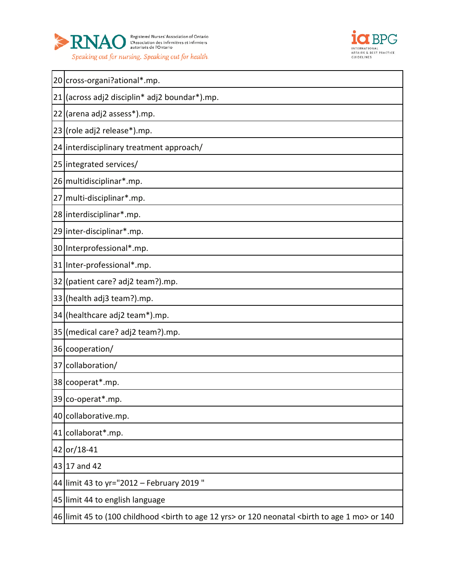



|    | 20 cross-organi?ational*.mp.                                                                                                           |
|----|----------------------------------------------------------------------------------------------------------------------------------------|
| 21 | (across adj2 disciplin* adj2 boundar*).mp.                                                                                             |
| 22 | (arena adj2 assess*).mp.                                                                                                               |
|    | 23 (role adj2 release*).mp.                                                                                                            |
|    | 24 interdisciplinary treatment approach/                                                                                               |
|    | 25 integrated services/                                                                                                                |
|    | 26 multidisciplinar*.mp.                                                                                                               |
|    | 27 multi-disciplinar*.mp.                                                                                                              |
|    | 28 interdisciplinar*.mp.                                                                                                               |
|    | 29 inter-disciplinar*.mp.                                                                                                              |
|    | 30 Interprofessional*.mp.                                                                                                              |
|    | 31 Inter-professional*.mp.                                                                                                             |
|    | 32 (patient care? adj2 team?).mp.                                                                                                      |
|    | 33 (health adj3 team?).mp.                                                                                                             |
|    | 34 (healthcare adj2 team*).mp.                                                                                                         |
|    | 35 (medical care? adj2 team?).mp.                                                                                                      |
|    | 36 cooperation/                                                                                                                        |
|    | 37 collaboration/                                                                                                                      |
|    | 38 cooperat*.mp.                                                                                                                       |
|    | 39 co-operat*.mp.                                                                                                                      |
|    | 40 collaborative.mp.                                                                                                                   |
|    | 41 collaborat*.mp.                                                                                                                     |
|    | 42 or/18-41                                                                                                                            |
|    | 43 17 and 42                                                                                                                           |
|    | 44 limit 43 to yr="2012 - February 2019"                                                                                               |
|    | 45 limit 44 to english language                                                                                                        |
|    | 46 limit 45 to (100 childhood <birth 12="" age="" to="" yrs=""> or 120 neonatal <birth 1="" age="" mo="" to=""> or 140</birth></birth> |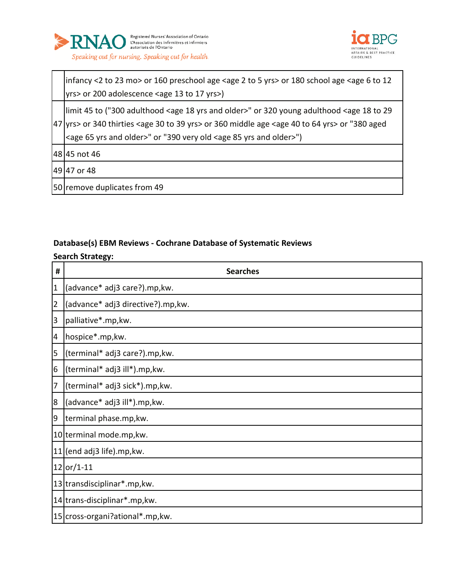



infancy <2 to 23 mo> or 160 preschool age <age 2 to 5 yrs> or 180 school age <age 6 to 12 yrs> or 200 adolescence <age 13 to 17 yrs>)

 yrs> or 340 thirties <age 30 to 39 yrs> or 360 middle age <age 40 to 64 yrs> or "380 aged limit 45 to ("300 adulthood <age 18 yrs and older>" or 320 young adulthood <age 18 to 29 <age 65 yrs and older>" or "390 very old <age 85 yrs and older>")

45 not 46

47 or 48

50 remove duplicates from 49

### **Database(s) EBM Reviews - Cochrane Database of Systematic Reviews**

| #              | <b>Searches</b>                   |
|----------------|-----------------------------------|
| $\overline{1}$ | (advance* adj3 care?).mp,kw.      |
| $\overline{2}$ | (advance* adj3 directive?).mp,kw. |
| 3              | palliative*.mp, kw.               |
| 4              | hospice*.mp,kw.                   |
| 5              | (terminal* adj3 care?).mp,kw.     |
| 6              | (terminal* adj3 ill*).mp, kw.     |
| 7              | (terminal* adj3 sick*).mp, kw.    |
| $\overline{8}$ | (advance* adj3 ill*).mp,kw.       |
| $\overline{9}$ | terminal phase.mp, kw.            |
|                | 10 terminal mode.mp, kw.          |
|                | $11$ (end adj3 life).mp, kw.      |
|                | $12 or/1-11$                      |
|                | 13 transdisciplinar*.mp, kw.      |
|                | 14 trans-disciplinar*.mp, kw.     |
|                | 15 cross-organi?ational*.mp, kw.  |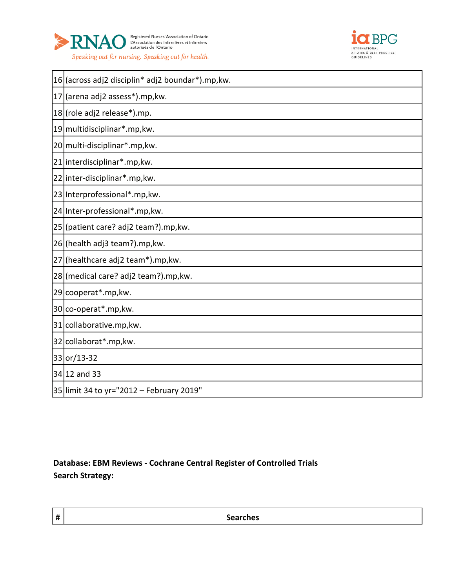



| 16 (across adj2 disciplin* adj2 boundar*).mp, kw. |
|---------------------------------------------------|
| 17 (arena adj2 assess*).mp, kw.                   |
| 18 (role adj2 release*).mp.                       |
| 19 multidisciplinar*.mp, kw.                      |
| 20 multi-disciplinar*.mp, kw.                     |
| 21 interdisciplinar*.mp, kw.                      |
| 22 inter-disciplinar*.mp, kw.                     |
| 23 Interprofessional*.mp, kw.                     |
| 24 Inter-professional*.mp, kw.                    |
| 25 (patient care? adj2 team?).mp, kw.             |
| 26 (health adj3 team?).mp, kw.                    |
| 27 (healthcare adj2 team*).mp, kw.                |
| 28 (medical care? adj2 team?).mp, kw.             |
| 29 cooperat*.mp, kw.                              |
| 30 co-operat*.mp, kw.                             |
| 31 collaborative.mp, kw.                          |
| 32 collaborat*.mp, kw.                            |
| 33 or/13-32                                       |
| 34 12 and 33                                      |
| 35 limit 34 to yr="2012 - February 2019"          |

**Database: EBM Reviews - Cochrane Central Register of Controlled Trials Search Strategy:**

**# Searches**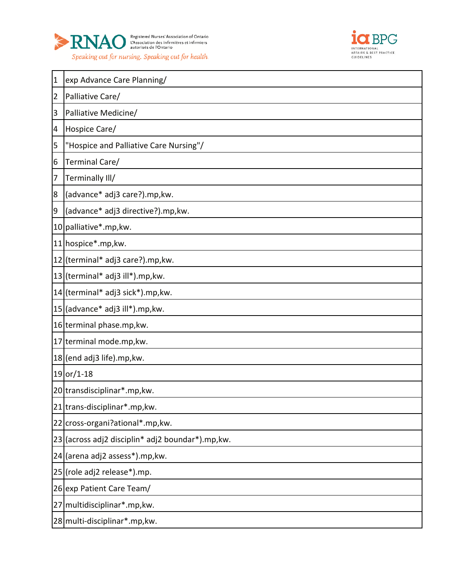



| $\mathbf{1}$   | exp Advance Care Planning/                    |
|----------------|-----------------------------------------------|
| $\overline{2}$ | Palliative Care/                              |
| 3              | Palliative Medicine/                          |
| 4              | Hospice Care/                                 |
| 5              | "Hospice and Palliative Care Nursing"/        |
| 6              | Terminal Care/                                |
| 7              | Terminally III/                               |
| 8              | (advance* adj3 care?).mp,kw.                  |
| $\overline{9}$ | (advance* adj3 directive?).mp,kw.             |
|                | 10 palliative*.mp, kw.                        |
|                | 11 hospice*.mp, kw.                           |
|                | 12 (terminal* adj3 care?).mp, kw.             |
|                | 13 (terminal* adj3 ill*).mp, kw.              |
|                | 14 (terminal* adj3 sick*).mp, kw.             |
|                | 15 (advance* adj3 ill*).mp, kw.               |
|                | 16 terminal phase.mp, kw.                     |
|                | 17 terminal mode.mp, kw.                      |
|                | 18 (end adj3 life).mp, kw.                    |
|                | $19 or/1-18$                                  |
|                | 20 transdisciplinar*.mp, kw.                  |
|                | 21 trans-disciplinar*.mp, kw.                 |
|                | 22 cross-organi?ational*.mp, kw.              |
| 23             | (across adj2 disciplin* adj2 boundar*).mp,kw. |
| 24             | (arena adj2 assess*).mp, kw.                  |
| 25             | (role adj2 release*).mp.                      |
|                | 26 exp Patient Care Team/                     |
| 27             | multidisciplinar*.mp, kw.                     |
|                | 28 multi-disciplinar*.mp, kw.                 |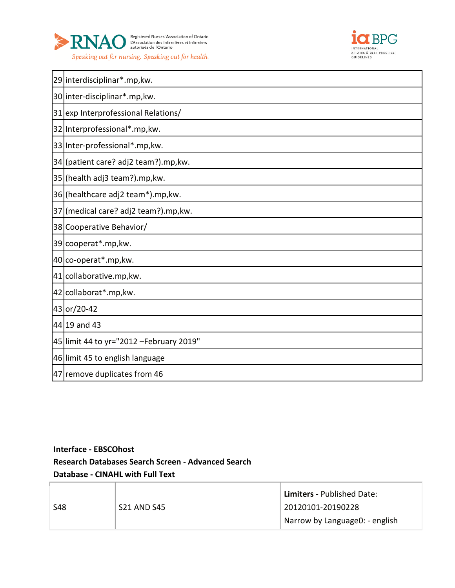



|    | 29 interdisciplinar*.mp, kw.             |
|----|------------------------------------------|
|    | 30 inter-disciplinar*.mp, kw.            |
|    | 31 exp Interprofessional Relations/      |
|    | 32 Interprofessional*.mp, kw.            |
|    | 33 Inter-professional*.mp, kw.           |
|    | 34 (patient care? adj2 team?).mp, kw.    |
|    | 35 (health adj3 team?).mp, kw.           |
|    | 36 (healthcare adj2 team*).mp, kw.       |
| 37 | (medical care? adj2 team?).mp, kw.       |
| 38 | Cooperative Behavior/                    |
|    | 39 cooperat*.mp, kw.                     |
|    | 40 co-operat*.mp, kw.                    |
|    | 41 collaborative.mp, kw.                 |
|    | 42 collaborat*.mp, kw.                   |
|    | 43 or/20-42                              |
|    | 44 19 and 43                             |
|    | 45 limit 44 to yr="2012 - February 2019" |
|    | 46 limit 45 to english language          |
|    | 47 remove duplicates from 46             |

# **Interface - EBSCOhost Research Databases Search Screen - Advanced Search Database - CINAHL with Full Text**

|     | <b>S21 AND S45</b> | <b>Limiters</b> - Published Date: |
|-----|--------------------|-----------------------------------|
| S48 |                    | 20120101-20190228                 |
|     |                    | Narrow by Language0: - english    |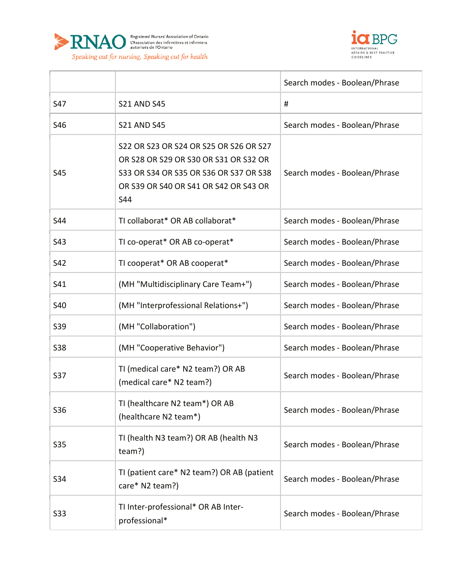



|            |                                                                                                                                                                                        | Search modes - Boolean/Phrase |
|------------|----------------------------------------------------------------------------------------------------------------------------------------------------------------------------------------|-------------------------------|
| S47        | <b>S21 AND S45</b>                                                                                                                                                                     | #                             |
| S46        | <b>S21 AND S45</b>                                                                                                                                                                     | Search modes - Boolean/Phrase |
| S45        | S22 OR S23 OR S24 OR S25 OR S26 OR S27<br>OR S28 OR S29 OR S30 OR S31 OR S32 OR<br>\$33 OR \$34 OR \$35 OR \$36 OR \$37 OR \$38<br>OR S39 OR S40 OR S41 OR S42 OR S43 OR<br><b>S44</b> | Search modes - Boolean/Phrase |
| S44        | TI collaborat* OR AB collaborat*                                                                                                                                                       | Search modes - Boolean/Phrase |
| S43        | TI co-operat* OR AB co-operat*                                                                                                                                                         | Search modes - Boolean/Phrase |
| S42        | TI cooperat* OR AB cooperat*                                                                                                                                                           | Search modes - Boolean/Phrase |
| S41        | (MH "Multidisciplinary Care Team+")                                                                                                                                                    | Search modes - Boolean/Phrase |
| S40        | (MH "Interprofessional Relations+")                                                                                                                                                    | Search modes - Boolean/Phrase |
| S39        | (MH "Collaboration")                                                                                                                                                                   | Search modes - Boolean/Phrase |
| <b>S38</b> | (MH "Cooperative Behavior")                                                                                                                                                            | Search modes - Boolean/Phrase |
| S37        | TI (medical care* N2 team?) OR AB<br>(medical care* N2 team?)                                                                                                                          | Search modes - Boolean/Phrase |
| S36        | TI (healthcare N2 team*) OR AB<br>(healthcare N2 team*)                                                                                                                                | Search modes - Boolean/Phrase |
| S35        | TI (health N3 team?) OR AB (health N3<br>team?)                                                                                                                                        | Search modes - Boolean/Phrase |
| S34        | TI (patient care* N2 team?) OR AB (patient<br>care* N2 team?)                                                                                                                          | Search modes - Boolean/Phrase |
| S33        | TI Inter-professional* OR AB Inter-<br>professional*                                                                                                                                   | Search modes - Boolean/Phrase |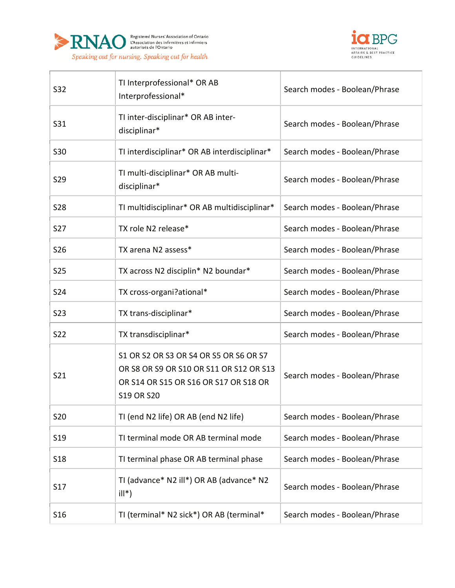

 $\Gamma$ 



| S32             | TI Interprofessional* OR AB<br>Interprofessional*                                                                                               | Search modes - Boolean/Phrase |
|-----------------|-------------------------------------------------------------------------------------------------------------------------------------------------|-------------------------------|
| S31             | TI inter-disciplinar* OR AB inter-<br>disciplinar*                                                                                              | Search modes - Boolean/Phrase |
| S30             | TI interdisciplinar* OR AB interdisciplinar*                                                                                                    | Search modes - Boolean/Phrase |
| S29             | TI multi-disciplinar* OR AB multi-<br>disciplinar*                                                                                              | Search modes - Boolean/Phrase |
| <b>S28</b>      | TI multidisciplinar* OR AB multidisciplinar*                                                                                                    | Search modes - Boolean/Phrase |
| S <sub>27</sub> | TX role N2 release*                                                                                                                             | Search modes - Boolean/Phrase |
| S26             | TX arena N2 assess*                                                                                                                             | Search modes - Boolean/Phrase |
| <b>S25</b>      | TX across N2 disciplin* N2 boundar*                                                                                                             | Search modes - Boolean/Phrase |
| S24             | TX cross-organi?ational*                                                                                                                        | Search modes - Boolean/Phrase |
| <b>S23</b>      | TX trans-disciplinar*                                                                                                                           | Search modes - Boolean/Phrase |
| S22             | TX transdisciplinar*                                                                                                                            | Search modes - Boolean/Phrase |
| S21             | S1 OR S2 OR S3 OR S4 OR S5 OR S6 OR S7<br>OR S8 OR S9 OR S10 OR S11 OR S12 OR S13<br>OR S14 OR S15 OR S16 OR S17 OR S18 OR<br><b>S19 OR S20</b> | Search modes - Boolean/Phrase |
| <b>S20</b>      | TI (end N2 life) OR AB (end N2 life)                                                                                                            | Search modes - Boolean/Phrase |
| S <sub>19</sub> | TI terminal mode OR AB terminal mode                                                                                                            | Search modes - Boolean/Phrase |
| S <sub>18</sub> | TI terminal phase OR AB terminal phase                                                                                                          | Search modes - Boolean/Phrase |
| S <sub>17</sub> | TI (advance* N2 ill*) OR AB (advance* N2<br>$ill^*)$                                                                                            | Search modes - Boolean/Phrase |
| S <sub>16</sub> | TI (terminal* N2 sick*) OR AB (terminal*                                                                                                        | Search modes - Boolean/Phrase |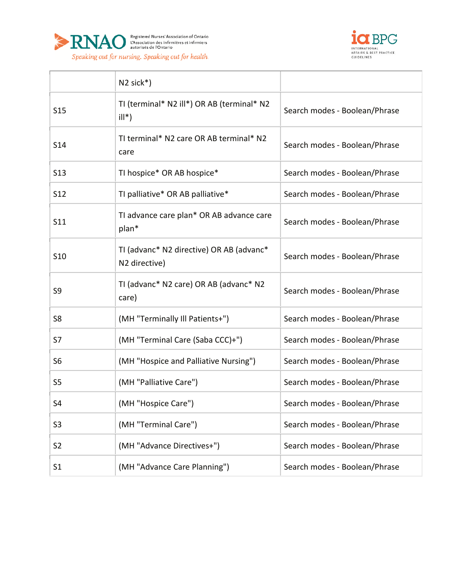



|                | $N2$ sick*)                                               |                               |
|----------------|-----------------------------------------------------------|-------------------------------|
| <b>S15</b>     | TI (terminal* N2 ill*) OR AB (terminal* N2<br>$ill^*)$    | Search modes - Boolean/Phrase |
| S14            | TI terminal* N2 care OR AB terminal* N2<br>care           | Search modes - Boolean/Phrase |
| <b>S13</b>     | TI hospice* OR AB hospice*                                | Search modes - Boolean/Phrase |
| <b>S12</b>     | TI palliative* OR AB palliative*                          | Search modes - Boolean/Phrase |
| S11            | TI advance care plan* OR AB advance care<br>plan*         | Search modes - Boolean/Phrase |
| S10            | TI (advanc* N2 directive) OR AB (advanc*<br>N2 directive) | Search modes - Boolean/Phrase |
| S9             | TI (advanc* N2 care) OR AB (advanc* N2<br>care)           | Search modes - Boolean/Phrase |
| S <sub>8</sub> | (MH "Terminally Ill Patients+")                           | Search modes - Boolean/Phrase |
| S7             | (MH "Terminal Care (Saba CCC)+")                          | Search modes - Boolean/Phrase |
| S <sub>6</sub> | (MH "Hospice and Palliative Nursing")                     | Search modes - Boolean/Phrase |
| S <sub>5</sub> | (MH "Palliative Care")                                    | Search modes - Boolean/Phrase |
| S4             | (MH "Hospice Care")                                       | Search modes - Boolean/Phrase |
| S <sub>3</sub> | (MH "Terminal Care")                                      | Search modes - Boolean/Phrase |
| S <sub>2</sub> | (MH "Advance Directives+")                                | Search modes - Boolean/Phrase |
| S <sub>1</sub> | (MH "Advance Care Planning")                              | Search modes - Boolean/Phrase |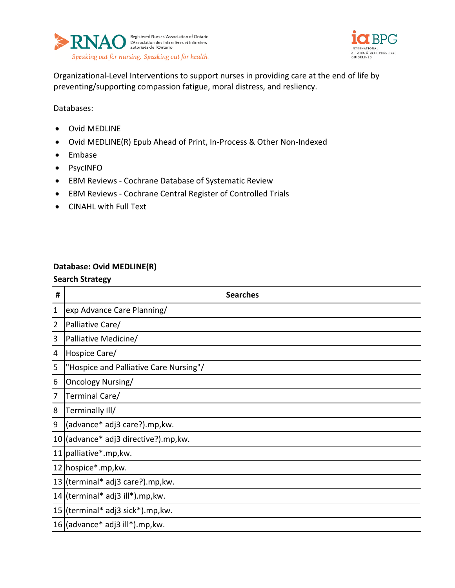



Organizational-Level Interventions to support nurses in providing care at the end of life by preventing/supporting compassion fatigue, moral distress, and resliency.

Databases:

- Ovid MEDLINE
- Ovid MEDLINE(R) Epub Ahead of Print, In-Process & Other Non-Indexed
- Embase
- PsycINFO
- EBM Reviews Cochrane Database of Systematic Review
- EBM Reviews Cochrane Central Register of Controlled Trials
- CINAHL with Full Text

### **Database: Ovid MEDLINE(R)**

| $\pmb{\sharp}$ | <b>Searches</b>                        |
|----------------|----------------------------------------|
| $\mathbf{1}$   | exp Advance Care Planning/             |
| $\overline{2}$ | Palliative Care/                       |
| 3              | Palliative Medicine/                   |
| 4              | Hospice Care/                          |
| 5              | "Hospice and Palliative Care Nursing"/ |
| 6              | Oncology Nursing/                      |
| 7              | Terminal Care/                         |
| 8              | Terminally Ill/                        |
| 9              | (advance* adj3 care?).mp, kw.          |
|                | 10 (advance* adj3 directive?).mp, kw.  |
|                | 11 palliative*.mp, kw.                 |
|                | 12 hospice*.mp, kw.                    |
|                | 13 (terminal* adj3 care?).mp, kw.      |
|                | 14 (terminal* adj3 ill*).mp, kw.       |
|                | 15 (terminal* adj3 sick*).mp, kw.      |
|                | $16$ (advance* adj3 ill*).mp, kw.      |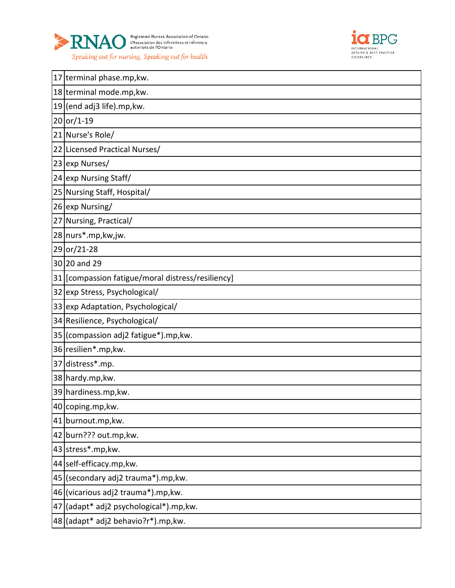



|    | 17 terminal phase.mp, kw.                         |
|----|---------------------------------------------------|
|    | 18 terminal mode.mp, kw.                          |
|    | $19$ (end adj3 life).mp, kw.                      |
|    | $20$ or/1-19                                      |
|    | 21 Nurse's Role/                                  |
|    | 22 Licensed Practical Nurses/                     |
|    | 23 exp Nurses/                                    |
|    | 24 exp Nursing Staff/                             |
|    | 25 Nursing Staff, Hospital/                       |
|    | 26 exp Nursing/                                   |
|    | 27 Nursing, Practical/                            |
|    | 28 nurs*.mp, kw, jw.                              |
|    | 29 or/21-28                                       |
|    | 30 20 and 29                                      |
|    | 31 [compassion fatigue/moral distress/resiliency] |
|    | 32 exp Stress, Psychological/                     |
|    | 33 exp Adaptation, Psychological/                 |
|    | 34 Resilience, Psychological/                     |
|    | 35 (compassion adj2 fatigue*).mp, kw.             |
|    | 36 resilien*.mp, kw.                              |
|    | 37 distress*.mp.                                  |
|    | 38 hardy.mp, kw.                                  |
|    | 39 hardiness.mp, kw.                              |
|    | 40 coping.mp, kw.                                 |
|    | 41 burnout.mp, kw.                                |
|    | 42 burn??? out.mp, kw.                            |
|    | 43 stress*.mp, kw.                                |
|    | 44 self-efficacy.mp, kw.                          |
|    | 45 (secondary adj2 trauma*).mp, kw.               |
|    | 46 (vicarious adj2 trauma*).mp, kw.               |
| 47 | (adapt* adj2 psychological*).mp,kw.               |
|    | 48 (adapt* adj2 behavio?r*).mp, kw.               |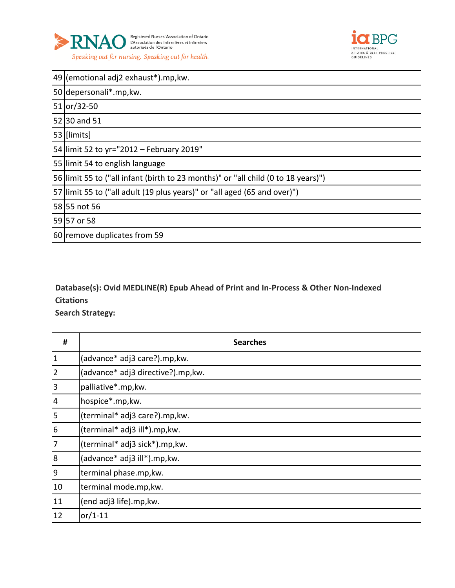



| 49 (emotional adj2 exhaust*).mp, kw.                                              |
|-----------------------------------------------------------------------------------|
| 50 depersonali*.mp, kw.                                                           |
| 51 or/32-50                                                                       |
| 52 30 and 51                                                                      |
| 53 [limits]                                                                       |
| 54 limit 52 to yr="2012 - February 2019"                                          |
| 55 limit 54 to english language                                                   |
| 56 limit 55 to ("all infant (birth to 23 months)" or "all child (0 to 18 years)") |
| 57 limit 55 to ("all adult (19 plus years)" or "all aged (65 and over)")          |
| 58 55 not 56                                                                      |
| 59 57 or 58                                                                       |
| 60 remove duplicates from 59                                                      |

# **Database(s): Ovid MEDLINE(R) Epub Ahead of Print and In-Process & Other Non-Indexed Citations**

| #               | <b>Searches</b>                    |
|-----------------|------------------------------------|
| $\vert$ 1       | (advance* adj3 care?).mp, kw.      |
| $\overline{2}$  | (advance* adj3 directive?).mp, kw. |
| $\vert$ 3       | palliative*.mp, kw.                |
| $\vert 4 \vert$ | hospice*.mp,kw.                    |
| 5               | (terminal* adj3 care?).mp, kw.     |
| $6\phantom{.}6$ | (terminal* adj3 ill*).mp, kw.      |
| 7               | (terminal* adj3 sick*).mp, kw.     |
| 8               | (advance* adj3 ill*).mp, kw.       |
| 9               | terminal phase.mp, kw.             |
| 10              | terminal mode.mp, kw.              |
| 11              | (end adj3 life).mp, kw.            |
| 12              | or/1-11                            |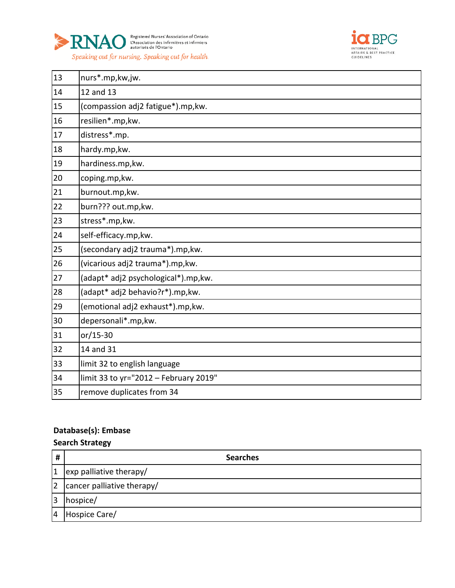



| 13 | nurs*.mp,kw,jw.                       |
|----|---------------------------------------|
| 14 | 12 and 13                             |
| 15 | (compassion adj2 fatigue*).mp, kw.    |
| 16 | resilien*.mp, kw.                     |
| 17 | distress*.mp.                         |
| 18 | hardy.mp, kw.                         |
| 19 | hardiness.mp, kw.                     |
| 20 | coping.mp, kw.                        |
| 21 | burnout.mp, kw.                       |
| 22 | burn??? out.mp, kw.                   |
| 23 | stress*.mp,kw.                        |
| 24 | self-efficacy.mp,kw.                  |
| 25 | (secondary adj2 trauma*).mp, kw.      |
| 26 | (vicarious adj2 trauma*).mp, kw.      |
| 27 | (adapt* adj2 psychological*).mp,kw.   |
| 28 | (adapt* adj2 behavio?r*).mp, kw.      |
| 29 | (emotional adj2 exhaust*).mp, kw.     |
| 30 | depersonali*.mp,kw.                   |
| 31 | or/15-30                              |
| 32 | 14 and 31                             |
| 33 | limit 32 to english language          |
| 34 | limit 33 to yr="2012 - February 2019" |
| 35 | remove duplicates from 34             |

# **Database(s): Embase**

| #         | <b>Searches</b>            |
|-----------|----------------------------|
| 11        | exp palliative therapy/    |
| <u> 2</u> | cancer palliative therapy/ |
| 3         | hospice/                   |
| 14        | Hospice Care/              |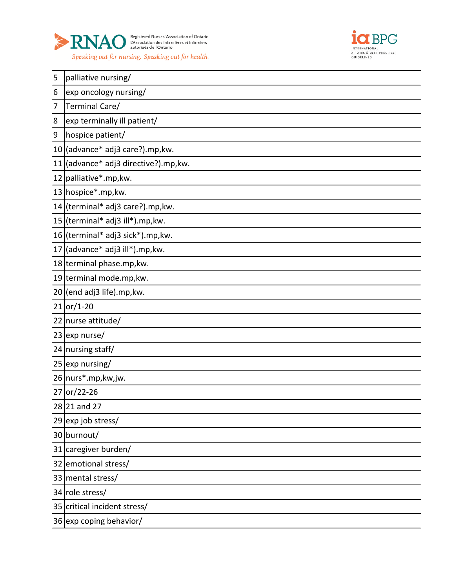



| 5  | palliative nursing/               |
|----|-----------------------------------|
| 6  | exp oncology nursing/             |
| 7  | Terminal Care/                    |
| 8  | exp terminally ill patient/       |
| 9  | hospice patient/                  |
|    | 10 (advance* adj3 care?).mp, kw.  |
| 11 | (advance* adj3 directive?).mp,kw. |
|    | 12 palliative*.mp, kw.            |
|    | 13 hospice*.mp, kw.               |
|    | 14 (terminal* adj3 care?).mp, kw. |
|    | 15 (terminal* adj3 ill*).mp, kw.  |
|    | 16 (terminal* adj3 sick*).mp, kw. |
|    | 17 (advance* adj3 ill*).mp, kw.   |
|    | 18 terminal phase.mp, kw.         |
|    | 19 terminal mode.mp, kw.          |
|    | $20$ (end adj3 life).mp, kw.      |
|    | $21$ or/1-20                      |
|    | 22 nurse attitude/                |
|    | $23$ exp nurse/                   |
|    | 24 nursing staff/                 |
|    | 25 exp nursing/                   |
|    | 26 nurs*.mp, kw, jw.              |
| 27 | or/22-26                          |
|    | 28 21 and 27                      |
|    | 29 exp job stress/                |
|    | 30 burnout/                       |
|    | 31 caregiver burden/              |
|    | 32 emotional stress/              |
|    | 33 mental stress/                 |
|    | 34 role stress/                   |
|    | 35 critical incident stress/      |
|    | 36 exp coping behavior/           |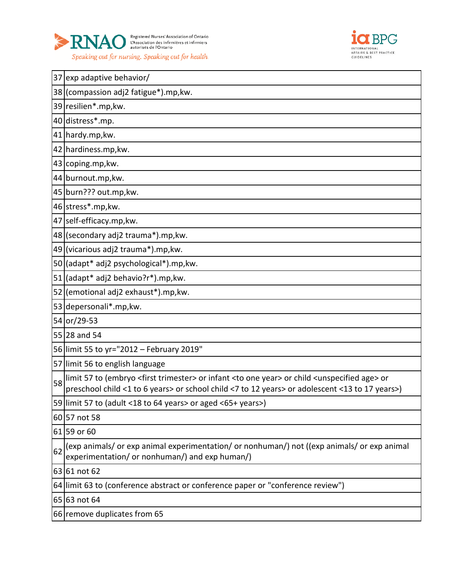



|    | 37 exp adaptive behavior/                                                                                                                                                                                                                               |
|----|---------------------------------------------------------------------------------------------------------------------------------------------------------------------------------------------------------------------------------------------------------|
|    | 38 (compassion adj2 fatigue*).mp, kw.                                                                                                                                                                                                                   |
|    | 39 resilien*.mp, kw.                                                                                                                                                                                                                                    |
|    | 40 distress*.mp.                                                                                                                                                                                                                                        |
|    | 41 hardy.mp, kw.                                                                                                                                                                                                                                        |
|    | 42 hardiness.mp, kw.                                                                                                                                                                                                                                    |
|    | 43 coping.mp, kw.                                                                                                                                                                                                                                       |
|    | 44 burnout.mp, kw.                                                                                                                                                                                                                                      |
|    | 45 burn??? out.mp, kw.                                                                                                                                                                                                                                  |
|    | 46 stress*.mp, kw.                                                                                                                                                                                                                                      |
|    | 47 self-efficacy.mp, kw.                                                                                                                                                                                                                                |
|    | 48 (secondary adj2 trauma*).mp, kw.                                                                                                                                                                                                                     |
|    | 49 (vicarious adj2 trauma*).mp, kw.                                                                                                                                                                                                                     |
|    | 50 (adapt* adj2 psychological*).mp, kw.                                                                                                                                                                                                                 |
|    | 51 (adapt* adj2 behavio?r*).mp, kw.                                                                                                                                                                                                                     |
|    | 52 (emotional adj2 exhaust*).mp, kw.                                                                                                                                                                                                                    |
|    | 53 depersonali*.mp, kw.                                                                                                                                                                                                                                 |
|    | 54 or/29-53                                                                                                                                                                                                                                             |
|    | 55 28 and 54                                                                                                                                                                                                                                            |
|    | 56 limit 55 to yr="2012 - February 2019"                                                                                                                                                                                                                |
|    | 57 limit 56 to english language                                                                                                                                                                                                                         |
| 58 | limit 57 to (embryo <first trimester=""> or infant <to one="" year=""> or child <unspecified age=""> or<br/>preschool child &lt;1 to 6 years&gt; or school child &lt;7 to 12 years&gt; or adolescent &lt;13 to 17 years&gt;)</unspecified></to></first> |
|    | 59 limit 57 to (adult <18 to 64 years> or aged <65+ years>)                                                                                                                                                                                             |
|    | 60 57 not 58                                                                                                                                                                                                                                            |
|    | 61 59 or 60                                                                                                                                                                                                                                             |
| 62 | (exp animals/ or exp animal experimentation/ or nonhuman/) not ((exp animals/ or exp animal<br>experimentation/ or nonhuman/) and exp human/)                                                                                                           |
|    | 63 61 not 62                                                                                                                                                                                                                                            |
|    | 64 limit 63 to (conference abstract or conference paper or "conference review")                                                                                                                                                                         |
|    | 65 63 not 64                                                                                                                                                                                                                                            |
|    | 66 remove duplicates from 65                                                                                                                                                                                                                            |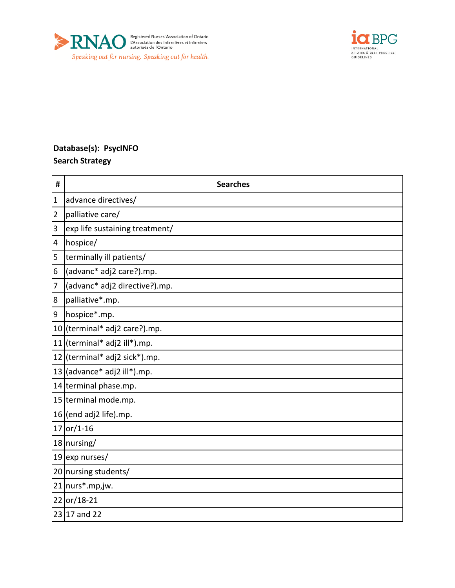



# **Database(s): PsycINFO Search Strategy**

| #              | <b>Searches</b>                |
|----------------|--------------------------------|
| $\mathbf{1}$   | advance directives/            |
| 2              | palliative care/               |
| 3              | exp life sustaining treatment/ |
| 4              | hospice/                       |
| 5              | terminally ill patients/       |
| 6              | (advanc* adj2 care?).mp.       |
| $\overline{7}$ | (advanc* adj2 directive?).mp.  |
| 8              | palliative*.mp.                |
| $\overline{9}$ | hospice*.mp.                   |
|                | 10 (terminal* adj2 care?).mp.  |
|                | 11 (terminal* adj2 ill*).mp.   |
|                | 12 (terminal* adj2 sick*).mp.  |
|                | $13$ (advance* adj2 ill*).mp.  |
|                | 14 terminal phase.mp.          |
|                | 15 terminal mode.mp.           |
|                | 16 (end adj2 life).mp.         |
|                | $17$ or/1-16                   |
|                | 18 nursing/                    |
|                | 19 exp nurses/                 |
|                | 20 nursing students/           |
|                | 21 nurs*.mp,jw.                |
|                | 22 or/18-21                    |
|                | 23 17 and 22                   |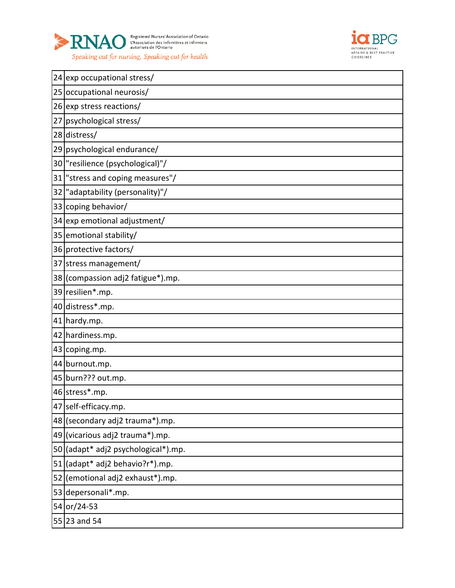



|    | 24 exp occupational stress/         |
|----|-------------------------------------|
|    | 25 occupational neurosis/           |
|    | 26 exp stress reactions/            |
| 27 | psychological stress/               |
|    | 28 distress/                        |
|    | 29 psychological endurance/         |
|    | 30   "resilience (psychological)"/  |
|    | 31 stress and coping measures"/     |
|    | 32   "adaptability (personality)"/  |
|    | 33 coping behavior/                 |
|    | 34 exp emotional adjustment/        |
|    | 35 emotional stability/             |
|    | 36 protective factors/              |
|    | 37 stress management/               |
|    | 38 (compassion adj2 fatigue*).mp.   |
|    | 39 resilien*.mp.                    |
|    |                                     |
|    | 40 distress*.mp.                    |
|    | 41 hardy.mp.                        |
|    | 42 hardiness.mp.                    |
|    | 43 coping.mp.                       |
|    | 44 burnout.mp.                      |
|    | 45 burn??? out.mp.                  |
|    | 46 stress*.mp.                      |
|    | 47 self-efficacy.mp.                |
|    | 48 (secondary adj2 trauma*).mp.     |
|    | 49 (vicarious adj2 trauma*).mp.     |
|    | 50 (adapt* adj2 psychological*).mp. |
|    | 51 (adapt* adj2 behavio?r*).mp.     |
|    | 52 (emotional adj2 exhaust*).mp.    |
|    | 53 depersonali*.mp.                 |
|    | 54 or/24-53                         |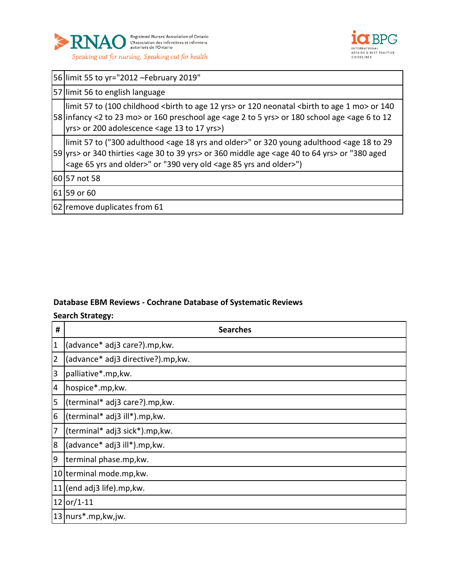



|    | 56 limit 55 to yr="2012 - February 2019"                                                                                                                                                                                                                                                                                                                                   |  |  |  |
|----|----------------------------------------------------------------------------------------------------------------------------------------------------------------------------------------------------------------------------------------------------------------------------------------------------------------------------------------------------------------------------|--|--|--|
|    | 57 limit 56 to english language                                                                                                                                                                                                                                                                                                                                            |  |  |  |
|    | limit 57 to (100 childhood <birth 12="" age="" to="" yrs=""> or 120 neonatal <birth 1="" age="" mo="" to=""> or 140<br/>58 infancy &lt;2 to 23 mo&gt; or 160 preschool age <age 2="" 5="" to="" yrs=""> or 180 school age <age 12<br="" 6="" to="">yrs&gt; or 200 adolescence <age 13="" 17="" to="" yrs="">)</age></age></age></birth></birth>                            |  |  |  |
|    | limit 57 to ("300 adulthood <age 18="" and="" older="" yrs="">" or 320 young adulthood <age 18="" 29<br="" to="">59 yrs&gt; or 340 thirties <age 30="" 39="" to="" yrs=""> or 360 middle age <age 40="" 64="" to="" yrs=""> or "380 aged<br/><age 65="" and="" older="" yrs="">" or "390 very old <age 85="" and="" older="" yrs="">")</age></age></age></age></age></age> |  |  |  |
|    | 60 57 not 58                                                                                                                                                                                                                                                                                                                                                               |  |  |  |
|    | 61 59 or 60                                                                                                                                                                                                                                                                                                                                                                |  |  |  |
| 62 | Tremove duplicates from 61                                                                                                                                                                                                                                                                                                                                                 |  |  |  |

## **Database EBM Reviews - Cochrane Database of Systematic Reviews**

| #              | <b>Searches</b>                   |
|----------------|-----------------------------------|
| $\mathbf{1}$   | (advance* adj3 care?).mp,kw.      |
| $\overline{2}$ | (advance* adj3 directive?).mp,kw. |
| 3              | palliative*.mp, kw.               |
| 4              | hospice*.mp,kw.                   |
| 5              | (terminal* adj3 care?).mp, kw.    |
| 6              | (terminal* adj3 ill*).mp, kw.     |
| 7              | (terminal* adj3 sick*).mp, kw.    |
| 8              | (advance* adj3 ill*).mp, kw.      |
| 9              | terminal phase.mp, kw.            |
|                | 10 terminal mode.mp, kw.          |
|                | $11$ (end adj3 life).mp, kw.      |
|                | $12$ or/1-11                      |
|                | 13 nurs*.mp, kw, jw.              |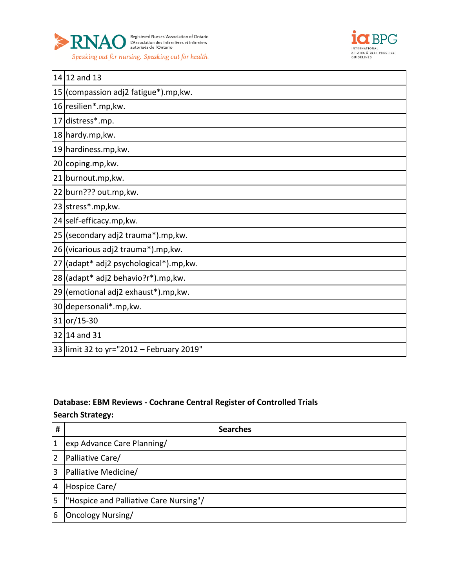



| 14 12 and 13                             |
|------------------------------------------|
| 15 (compassion adj2 fatigue*).mp, kw.    |
| 16 resilien*.mp, kw.                     |
| 17 distress*.mp.                         |
| 18 hardy.mp, kw.                         |
| 19 hardiness.mp, kw.                     |
| 20 coping.mp, kw.                        |
| 21 burnout.mp, kw.                       |
| 22 burn??? out.mp, kw.                   |
| 23 stress*.mp, kw.                       |
| 24 self-efficacy.mp, kw.                 |
| 25 (secondary adj2 trauma*).mp, kw.      |
| 26 (vicarious adj2 trauma*).mp, kw.      |
| 27 (adapt* adj2 psychological*).mp, kw.  |
| 28 (adapt* adj2 behavio?r*).mp, kw.      |
| 29 (emotional adj2 exhaust*).mp, kw.     |
| 30 depersonali*.mp, kw.                  |
| 31 or/15-30                              |
| 32 14 and 31                             |
| 33 limit 32 to yr="2012 - February 2019" |

# **Database: EBM Reviews - Cochrane Central Register of Controlled Trials Search Strategy:**

| #  | <b>Searches</b>                        |
|----|----------------------------------------|
| 1  | exp Advance Care Planning/             |
| 2  | Palliative Care/                       |
| 3  | Palliative Medicine/                   |
| 4  | Hospice Care/                          |
| l5 | "Hospice and Palliative Care Nursing"/ |
| 6  | Oncology Nursing/                      |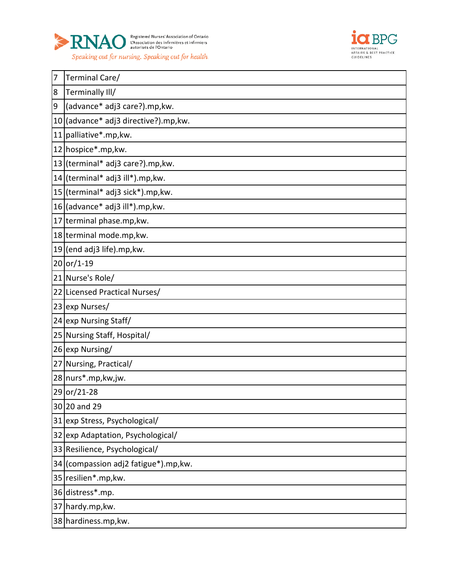



| 7                | Terminal Care/                        |
|------------------|---------------------------------------|
| 8                | Terminally III/                       |
| $\boldsymbol{9}$ | (advance* adj3 care?).mp, kw.         |
|                  | 10 (advance* adj3 directive?).mp, kw. |
|                  | 11 palliative*.mp, kw.                |
|                  | 12 hospice*.mp, kw.                   |
|                  | 13 (terminal* adj3 care?).mp, kw.     |
|                  | 14 (terminal* adj3 ill*).mp, kw.      |
|                  | 15 (terminal* adj3 sick*).mp, kw.     |
|                  | $16$ (advance* adj3 ill*).mp, kw.     |
|                  | 17 terminal phase.mp, kw.             |
|                  | 18 terminal mode.mp, kw.              |
|                  | $19$ (end adj3 life).mp, kw.          |
|                  | $20$ or/1-19                          |
|                  | 21 Nurse's Role/                      |
|                  | 22 Licensed Practical Nurses/         |
|                  | 23 exp Nurses/                        |
|                  | 24 exp Nursing Staff/                 |
|                  | 25 Nursing Staff, Hospital/           |
|                  | 26 exp Nursing/                       |
|                  | 27 Nursing, Practical/                |
|                  | 28 nurs*.mp, kw, jw.                  |
|                  | 29 or/21-28                           |
|                  | 30 20 and 29                          |
|                  | 31 exp Stress, Psychological/         |
|                  | 32 exp Adaptation, Psychological/     |
|                  | 33 Resilience, Psychological/         |
|                  | 34 (compassion adj2 fatigue*).mp, kw. |
|                  | 35 resilien*.mp, kw.                  |
|                  | 36 distress*.mp.                      |
|                  | 37 hardy.mp, kw.                      |
|                  | 38 hardiness.mp, kw.                  |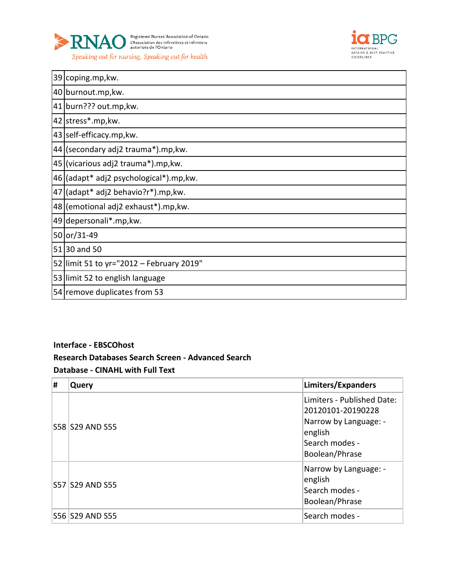



|    | 39 coping.mp, kw.                        |
|----|------------------------------------------|
|    | 40 burnout.mp, kw.                       |
|    | 41 burn??? out.mp, kw.                   |
|    | 42 stress*.mp, kw.                       |
|    | 43 self-efficacy.mp, kw.                 |
|    | 44 (secondary adj2 trauma*).mp, kw.      |
|    | 45 (vicarious adj2 trauma*).mp, kw.      |
|    | 46 (adapt* adj2 psychological*).mp, kw.  |
| 47 | (adapt* adj2 behavio?r*).mp,kw.          |
|    | 48 (emotional adj2 exhaust*).mp, kw.     |
|    | 49 depersonali*.mp, kw.                  |
|    | 50 or/31-49                              |
|    | 51 30 and 50                             |
|    | 52 limit 51 to yr="2012 – February 2019" |
|    | 53 limit 52 to english language          |
|    | 54 remove duplicates from 53             |

### **Interface - EBSCOhost**

#### **Research Databases Search Screen - Advanced Search**

#### **Database - CINAHL with Full Text**

| Ħ | Query            | Limiters/Expanders                                                                                                      |
|---|------------------|-------------------------------------------------------------------------------------------------------------------------|
|   | S58 S29 AND S55  | Limiters - Published Date:<br>20120101-20190228<br>Narrow by Language: -<br>english<br>Search modes -<br>Boolean/Phrase |
|   | S57 S29 AND S55  | Narrow by Language: -<br>english<br>Search modes -<br>Boolean/Phrase                                                    |
|   | S56  S29 AND S55 | Search modes -                                                                                                          |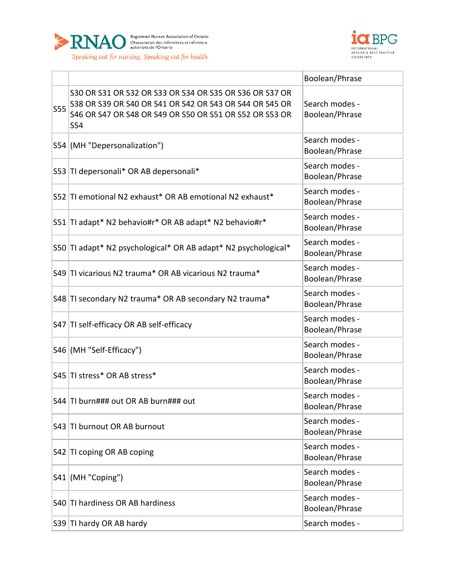



|            |                                                                                                                                                                                      | Boolean/Phrase                   |
|------------|--------------------------------------------------------------------------------------------------------------------------------------------------------------------------------------|----------------------------------|
| <b>S55</b> | S30 OR S31 OR S32 OR S33 OR S34 OR S35 OR S36 OR S37 OR<br>S38 OR S39 OR S40 OR S41 OR S42 OR S43 OR S44 OR S45 OR<br>S46 OR S47 OR S48 OR S49 OR S50 OR S51 OR S52 OR S53 OR<br>S54 | Search modes -<br>Boolean/Phrase |
|            | S54 (MH "Depersonalization")                                                                                                                                                         | Search modes -<br>Boolean/Phrase |
|            | S53 TI depersonali* OR AB depersonali*                                                                                                                                               | Search modes -<br>Boolean/Phrase |
|            | S52 TI emotional N2 exhaust* OR AB emotional N2 exhaust*                                                                                                                             | Search modes -<br>Boolean/Phrase |
|            | S51   TI adapt* N2 behavio#r* OR AB adapt* N2 behavio#r*                                                                                                                             | Search modes -<br>Boolean/Phrase |
|            | S50 TI adapt* N2 psychological* OR AB adapt* N2 psychological*                                                                                                                       | Search modes -<br>Boolean/Phrase |
|            | S49 TI vicarious N2 trauma* OR AB vicarious N2 trauma*                                                                                                                               | Search modes -<br>Boolean/Phrase |
|            | S48 TI secondary N2 trauma* OR AB secondary N2 trauma*                                                                                                                               | Search modes -<br>Boolean/Phrase |
|            | S47 TI self-efficacy OR AB self-efficacy                                                                                                                                             | Search modes -<br>Boolean/Phrase |
|            | S46 (MH "Self-Efficacy")                                                                                                                                                             | Search modes -<br>Boolean/Phrase |
|            | S45 TI stress* OR AB stress*                                                                                                                                                         | Search modes -<br>Boolean/Phrase |
|            | S44 TI burn### out OR AB burn### out                                                                                                                                                 | Search modes -<br>Boolean/Phrase |
|            | S43 TI burnout OR AB burnout                                                                                                                                                         | Search modes -<br>Boolean/Phrase |
|            | S42 TI coping OR AB coping                                                                                                                                                           | Search modes -<br>Boolean/Phrase |
|            | S41 (MH "Coping")                                                                                                                                                                    | Search modes -<br>Boolean/Phrase |
|            | S40 TI hardiness OR AB hardiness                                                                                                                                                     | Search modes -<br>Boolean/Phrase |
|            | S39 TI hardy OR AB hardy                                                                                                                                                             | Search modes -                   |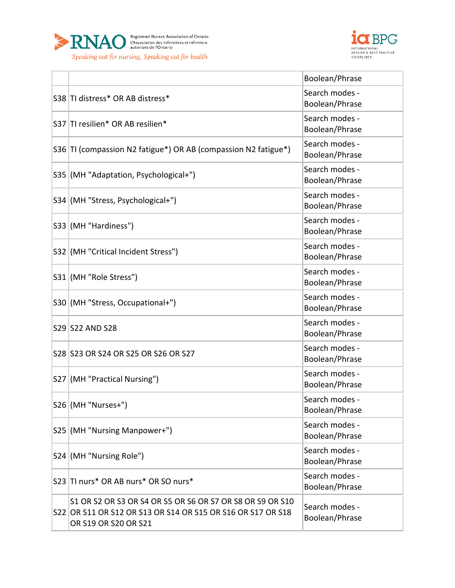



|                                                                                                                                                  | Boolean/Phrase                   |
|--------------------------------------------------------------------------------------------------------------------------------------------------|----------------------------------|
| S38 TI distress* OR AB distress*                                                                                                                 | Search modes -<br>Boolean/Phrase |
| S37 TI resilien* OR AB resilien*                                                                                                                 | Search modes -<br>Boolean/Phrase |
| S36 TI (compassion N2 fatigue*) OR AB (compassion N2 fatigue*)                                                                                   | Search modes -<br>Boolean/Phrase |
| S35 (MH "Adaptation, Psychological+")                                                                                                            | Search modes -<br>Boolean/Phrase |
| S34 (MH "Stress, Psychological+")                                                                                                                | Search modes -<br>Boolean/Phrase |
| S33 (MH "Hardiness")                                                                                                                             | Search modes -<br>Boolean/Phrase |
| S32 (MH "Critical Incident Stress")                                                                                                              | Search modes -<br>Boolean/Phrase |
| S31 (MH "Role Stress")                                                                                                                           | Search modes -<br>Boolean/Phrase |
| S30 (MH "Stress, Occupational+")                                                                                                                 | Search modes -<br>Boolean/Phrase |
| S29 S22 AND S28                                                                                                                                  | Search modes -<br>Boolean/Phrase |
| S28 S23 OR S24 OR S25 OR S26 OR S27                                                                                                              | Search modes -<br>Boolean/Phrase |
| S27 (MH "Practical Nursing")                                                                                                                     | Search modes -<br>Boolean/Phrase |
| $S26$ (MH "Nurses+")                                                                                                                             | Search modes -<br>Boolean/Phrase |
| S25 (MH "Nursing Manpower+")                                                                                                                     | Search modes -<br>Boolean/Phrase |
| S24 (MH "Nursing Role")                                                                                                                          | Search modes -<br>Boolean/Phrase |
| S23 TI nurs* OR AB nurs* OR SO nurs*                                                                                                             | Search modes -<br>Boolean/Phrase |
| S1 OR S2 OR S3 OR S4 OR S5 OR S6 OR S7 OR S8 OR S9 OR S10<br>S22 OR S11 OR S12 OR S13 OR S14 OR S15 OR S16 OR S17 OR S18<br>OR S19 OR S20 OR S21 | Search modes -<br>Boolean/Phrase |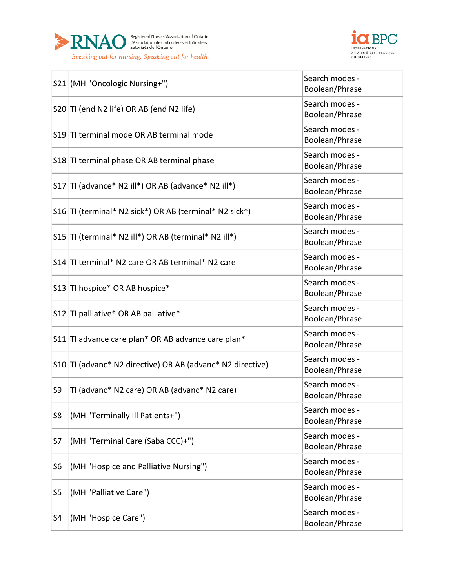



|                | S21 (MH "Oncologic Nursing+")                              | Search modes -<br>Boolean/Phrase |
|----------------|------------------------------------------------------------|----------------------------------|
|                | S20 TI (end N2 life) OR AB (end N2 life)                   | Search modes -<br>Boolean/Phrase |
|                | S19 TI terminal mode OR AB terminal mode                   | Search modes -<br>Boolean/Phrase |
|                | S18 TI terminal phase OR AB terminal phase                 | Search modes -<br>Boolean/Phrase |
|                | S17   TI (advance* N2 ill*) OR AB (advance* N2 ill*)       | Search modes -<br>Boolean/Phrase |
|                | S16 TI (terminal* N2 sick*) OR AB (terminal* N2 sick*)     | Search modes -<br>Boolean/Phrase |
|                | S15  TI (terminal* N2 ill*) OR AB (terminal* N2 ill*)      | Search modes -<br>Boolean/Phrase |
|                | S14 TI terminal* N2 care OR AB terminal* N2 care           | Search modes -<br>Boolean/Phrase |
|                | S13 TI hospice* OR AB hospice*                             | Search modes -<br>Boolean/Phrase |
|                | S12 TI palliative* OR AB palliative*                       | Search modes -<br>Boolean/Phrase |
|                | S11 TI advance care plan* OR AB advance care plan*         | Search modes -<br>Boolean/Phrase |
|                | S10 TI (advanc* N2 directive) OR AB (advanc* N2 directive) | Search modes -<br>Boolean/Phrase |
| S9             | TI (advanc* N2 care) OR AB (advanc* N2 care)               | Search modes -<br>Boolean/Phrase |
| S8             | (MH "Terminally Ill Patients+")                            | Search modes -<br>Boolean/Phrase |
| S7             | (MH "Terminal Care (Saba CCC)+")                           | Search modes -<br>Boolean/Phrase |
| S <sub>6</sub> | (MH "Hospice and Palliative Nursing")                      | Search modes -<br>Boolean/Phrase |
| S5             | (MH "Palliative Care")                                     | Search modes -<br>Boolean/Phrase |
| S4             | (MH "Hospice Care")                                        | Search modes -<br>Boolean/Phrase |